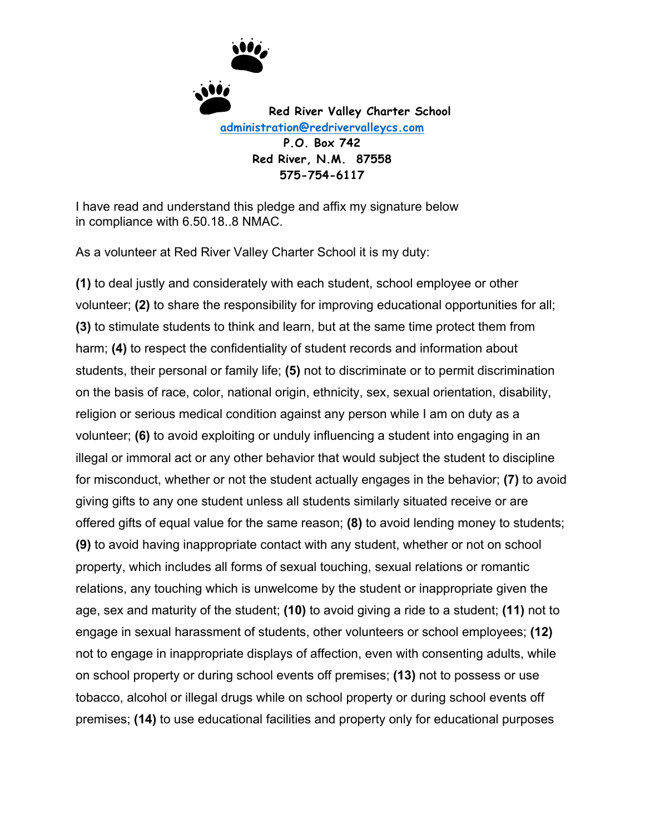

I have read and understand this pledge and affix my signature below in compliance with 6.50.18..8 NMAC.

As a volunteer at Red River Valley Charter School it is my duty:

**(1)** to deal justly and considerately with each student, school employee or other volunteer; **(2)** to share the responsibility for improving educational opportunities for all; **(3)** to stimulate students to think and learn, but at the same time protect them from harm; **(4)** to respect the confidentiality of student records and information about students, their personal or family life; **(5)** not to discriminate or to permit discrimination on the basis of race, color, national origin, ethnicity, sex, sexual orientation, disability, religion or serious medical condition against any person while I am on duty as a volunteer; **(6)** to avoid exploiting or unduly influencing a student into engaging in an illegal or immoral act or any other behavior that would subject the student to discipline for misconduct, whether or not the student actually engages in the behavior; **(7)** to avoid giving gifts to any one student unless all students similarly situated receive or are offered gifts of equal value for the same reason; **(8)** to avoid lending money to students; **(9)** to avoid having inappropriate contact with any student, whether or not on school property, which includes all forms of sexual touching, sexual relations or romantic relations, any touching which is unwelcome by the student or inappropriate given the age, sex and maturity of the student; **(10)** to avoid giving a ride to a student; **(11)** not to engage in sexual harassment of students, other volunteers or school employees; **(12)**  not to engage in inappropriate displays of affection, even with consenting adults, while on school property or during school events off premises; **(13)** not to possess or use tobacco, alcohol or illegal drugs while on school property or during school events off premises; **(14)** to use educational facilities and property only for educational purposes